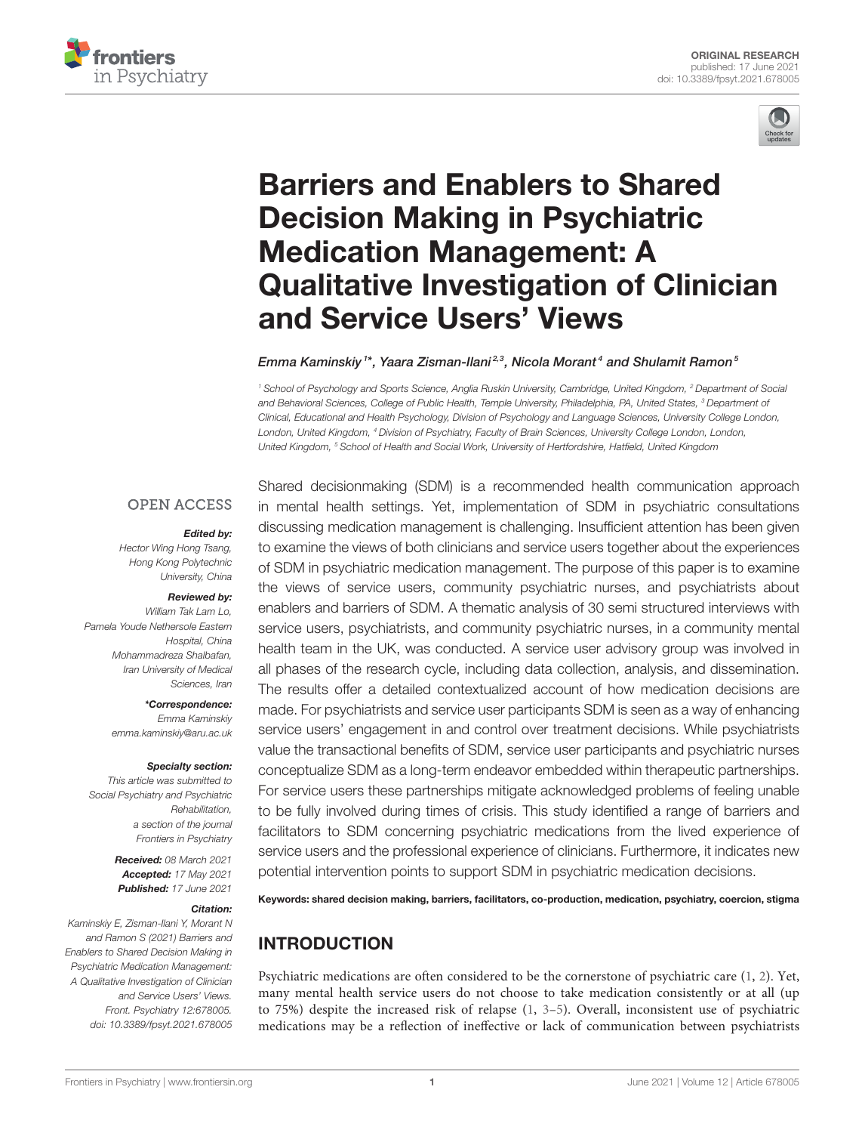



# Barriers and Enablers to Shared Decision Making in Psychiatric Medication Management: A [Qualitative Investigation of Clinician](https://www.frontiersin.org/articles/10.3389/fpsyt.2021.678005/full) and Service Users' Views

Emma Kaminskiy†\*, Yaara Zisman-Ilani½3, Nicola Morant4 and Shulamit Ramon5

*<sup>1</sup> School of Psychology and Sports Science, Anglia Ruskin University, Cambridge, United Kingdom, <sup>2</sup> Department of Social and Behavioral Sciences, College of Public Health, Temple University, Philadelphia, PA, United States, <sup>3</sup> Department of Clinical, Educational and Health Psychology, Division of Psychology and Language Sciences, University College London, London, United Kingdom, <sup>4</sup> Division of Psychiatry, Faculty of Brain Sciences, University College London, London, United Kingdom, <sup>5</sup> School of Health and Social Work, University of Hertfordshire, Hatfield, United Kingdom*

#### **OPEN ACCESS**

#### Edited by:

*Hector Wing Hong Tsang, Hong Kong Polytechnic University, China*

#### Reviewed by:

*William Tak Lam Lo, Pamela Youde Nethersole Eastern Hospital, China Mohammadreza Shalbafan, Iran University of Medical Sciences, Iran*

> \*Correspondence: *Emma Kaminskiy [emma.kaminskiy@aru.ac.uk](mailto:emma.kaminskiy@aru.ac.uk)*

#### Specialty section:

*This article was submitted to Social Psychiatry and Psychiatric Rehabilitation, a section of the journal Frontiers in Psychiatry*

> Received: *08 March 2021* Accepted: *17 May 2021* Published: *17 June 2021*

#### Citation:

*Kaminskiy E, Zisman-Ilani Y, Morant N and Ramon S (2021) Barriers and Enablers to Shared Decision Making in Psychiatric Medication Management: A Qualitative Investigation of Clinician and Service Users' Views. Front. Psychiatry 12:678005. doi: [10.3389/fpsyt.2021.678005](https://doi.org/10.3389/fpsyt.2021.678005)*

Shared decisionmaking (SDM) is a recommended health communication approach in mental health settings. Yet, implementation of SDM in psychiatric consultations discussing medication management is challenging. Insufficient attention has been given to examine the views of both clinicians and service users together about the experiences of SDM in psychiatric medication management. The purpose of this paper is to examine the views of service users, community psychiatric nurses, and psychiatrists about enablers and barriers of SDM. A thematic analysis of 30 semi structured interviews with service users, psychiatrists, and community psychiatric nurses, in a community mental health team in the UK, was conducted. A service user advisory group was involved in all phases of the research cycle, including data collection, analysis, and dissemination. The results offer a detailed contextualized account of how medication decisions are made. For psychiatrists and service user participants SDM is seen as a way of enhancing service users' engagement in and control over treatment decisions. While psychiatrists value the transactional benefits of SDM, service user participants and psychiatric nurses conceptualize SDM as a long-term endeavor embedded within therapeutic partnerships. For service users these partnerships mitigate acknowledged problems of feeling unable to be fully involved during times of crisis. This study identified a range of barriers and facilitators to SDM concerning psychiatric medications from the lived experience of service users and the professional experience of clinicians. Furthermore, it indicates new potential intervention points to support SDM in psychiatric medication decisions.

Keywords: shared decision making, barriers, facilitators, co-production, medication, psychiatry, coercion, stigma

# INTRODUCTION

Psychiatric medications are often considered to be the cornerstone of psychiatric care [\(1,](#page-7-0) [2\)](#page-7-1). Yet, many mental health service users do not choose to take medication consistently or at all (up to 75%) despite the increased risk of relapse [\(1,](#page-7-0) [3](#page-7-2)[–5\)](#page-7-3). Overall, inconsistent use of psychiatric medications may be a reflection of ineffective or lack of communication between psychiatrists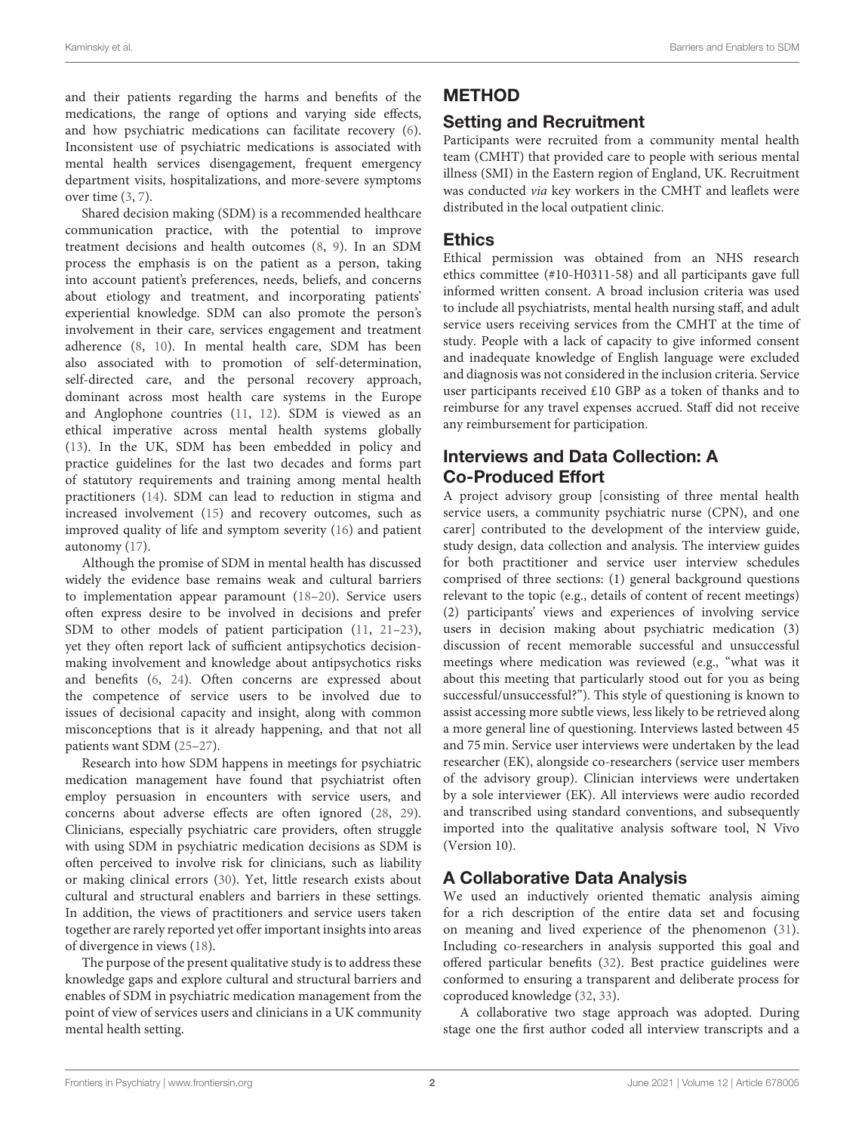and their patients regarding the harms and benefits of the medications, the range of options and varying side effects, and how psychiatric medications can facilitate recovery [\(6\)](#page-7-4). Inconsistent use of psychiatric medications is associated with mental health services disengagement, frequent emergency department visits, hospitalizations, and more-severe symptoms over time [\(3,](#page-7-2) [7\)](#page-7-5).

Shared decision making (SDM) is a recommended healthcare communication practice, with the potential to improve treatment decisions and health outcomes [\(8,](#page-7-6) [9\)](#page-7-7). In an SDM process the emphasis is on the patient as a person, taking into account patient's preferences, needs, beliefs, and concerns about etiology and treatment, and incorporating patients' experiential knowledge. SDM can also promote the person's involvement in their care, services engagement and treatment adherence [\(8,](#page-7-6) [10\)](#page-7-8). In mental health care, SDM has been also associated with to promotion of self-determination, self-directed care, and the personal recovery approach, dominant across most health care systems in the Europe and Anglophone countries [\(11,](#page-8-0) [12\)](#page-8-1). SDM is viewed as an ethical imperative across mental health systems globally [\(13\)](#page-8-2). In the UK, SDM has been embedded in policy and practice guidelines for the last two decades and forms part of statutory requirements and training among mental health practitioners [\(14\)](#page-8-3). SDM can lead to reduction in stigma and increased involvement [\(15\)](#page-8-4) and recovery outcomes, such as improved quality of life and symptom severity [\(16\)](#page-8-5) and patient autonomy [\(17\)](#page-8-6).

Although the promise of SDM in mental health has discussed widely the evidence base remains weak and cultural barriers to implementation appear paramount [\(18](#page-8-7)[–20\)](#page-8-8). Service users often express desire to be involved in decisions and prefer SDM to other models of patient participation [\(11,](#page-8-0) [21–](#page-8-9)[23\)](#page-8-10), yet they often report lack of sufficient antipsychotics decisionmaking involvement and knowledge about antipsychotics risks and benefits [\(6,](#page-7-4) [24\)](#page-8-11). Often concerns are expressed about the competence of service users to be involved due to issues of decisional capacity and insight, along with common misconceptions that is it already happening, and that not all patients want SDM [\(25](#page-8-12)[–27\)](#page-8-13).

Research into how SDM happens in meetings for psychiatric medication management have found that psychiatrist often employ persuasion in encounters with service users, and concerns about adverse effects are often ignored [\(28,](#page-8-14) [29\)](#page-8-15). Clinicians, especially psychiatric care providers, often struggle with using SDM in psychiatric medication decisions as SDM is often perceived to involve risk for clinicians, such as liability or making clinical errors [\(30\)](#page-8-16). Yet, little research exists about cultural and structural enablers and barriers in these settings. In addition, the views of practitioners and service users taken together are rarely reported yet offer important insights into areas of divergence in views [\(18\)](#page-8-7).

The purpose of the present qualitative study is to address these knowledge gaps and explore cultural and structural barriers and enables of SDM in psychiatric medication management from the point of view of services users and clinicians in a UK community mental health setting.

# METHOD

# Setting and Recruitment

Participants were recruited from a community mental health team (CMHT) that provided care to people with serious mental illness (SMI) in the Eastern region of England, UK. Recruitment was conducted via key workers in the CMHT and leaflets were distributed in the local outpatient clinic.

# **Ethics**

Ethical permission was obtained from an NHS research ethics committee (#10-H0311-58) and all participants gave full informed written consent. A broad inclusion criteria was used to include all psychiatrists, mental health nursing staff, and adult service users receiving services from the CMHT at the time of study. People with a lack of capacity to give informed consent and inadequate knowledge of English language were excluded and diagnosis was not considered in the inclusion criteria. Service user participants received £10 GBP as a token of thanks and to reimburse for any travel expenses accrued. Staff did not receive any reimbursement for participation.

# Interviews and Data Collection: A Co-Produced Effort

A project advisory group [consisting of three mental health service users, a community psychiatric nurse (CPN), and one carer] contributed to the development of the interview guide, study design, data collection and analysis. The interview guides for both practitioner and service user interview schedules comprised of three sections: (1) general background questions relevant to the topic (e.g., details of content of recent meetings) (2) participants' views and experiences of involving service users in decision making about psychiatric medication (3) discussion of recent memorable successful and unsuccessful meetings where medication was reviewed (e.g., "what was it about this meeting that particularly stood out for you as being successful/unsuccessful?"). This style of questioning is known to assist accessing more subtle views, less likely to be retrieved along a more general line of questioning. Interviews lasted between 45 and 75 min. Service user interviews were undertaken by the lead researcher (EK), alongside co-researchers (service user members of the advisory group). Clinician interviews were undertaken by a sole interviewer (EK). All interviews were audio recorded and transcribed using standard conventions, and subsequently imported into the qualitative analysis software tool, N Vivo (Version 10).

# A Collaborative Data Analysis

We used an inductively oriented thematic analysis aiming for a rich description of the entire data set and focusing on meaning and lived experience of the phenomenon [\(31\)](#page-8-17). Including co-researchers in analysis supported this goal and offered particular benefits [\(32\)](#page-8-18). Best practice guidelines were conformed to ensuring a transparent and deliberate process for coproduced knowledge [\(32,](#page-8-18) [33\)](#page-8-19).

A collaborative two stage approach was adopted. During stage one the first author coded all interview transcripts and a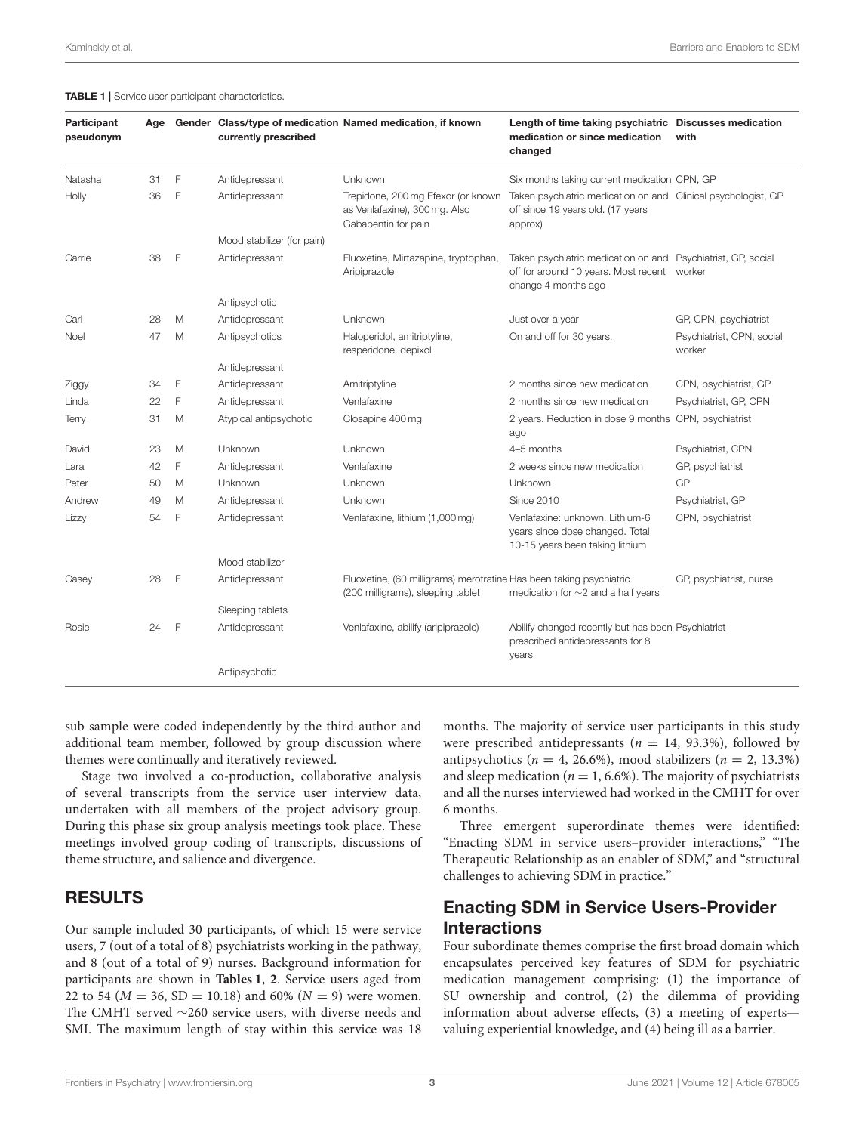<span id="page-2-0"></span>

|  |  |  |  | <b>TABLE 1</b>   Service user participant characteristics. |
|--|--|--|--|------------------------------------------------------------|
|--|--|--|--|------------------------------------------------------------|

| Participant<br>pseudonym                                        | Age |                                                                                         | currently prescribed       | Gender Class/type of medication Named medication, if known                                 | Length of time taking psychiatric Discusses medication<br>medication or since medication<br>changed                         | with                                |
|-----------------------------------------------------------------|-----|-----------------------------------------------------------------------------------------|----------------------------|--------------------------------------------------------------------------------------------|-----------------------------------------------------------------------------------------------------------------------------|-------------------------------------|
| Natasha                                                         | 31  | F                                                                                       | Antidepressant             | Unknown                                                                                    | Six months taking current medication CPN, GP                                                                                |                                     |
| 36<br>Holly                                                     |     | F                                                                                       | Antidepressant             | Trepidone, 200 mg Efexor (or known<br>as Venlafaxine), 300 mg. Also<br>Gabapentin for pain | Taken psychiatric medication on and Clinical psychologist, GP<br>off since 19 years old. (17 years<br>approx)               |                                     |
|                                                                 |     |                                                                                         | Mood stabilizer (for pain) |                                                                                            |                                                                                                                             |                                     |
| Carrie                                                          | 38  | $\mathsf F$                                                                             | Antidepressant             | Fluoxetine, Mirtazapine, tryptophan,<br>Aripiprazole                                       | Taken psychiatric medication on and Psychiatrist, GP, social<br>off for around 10 years. Most recent<br>change 4 months ago | worker                              |
|                                                                 |     |                                                                                         | Antipsychotic              |                                                                                            |                                                                                                                             |                                     |
| Carl                                                            | 28  | M                                                                                       | Antidepressant             | Unknown                                                                                    | Just over a year                                                                                                            | GP, CPN, psychiatrist               |
| Noel                                                            | 47  | M                                                                                       | Antipsychotics             | Haloperidol, amitriptyline,<br>resperidone, depixol                                        | On and off for 30 years.                                                                                                    | Psychiatrist, CPN, social<br>worker |
| F<br>34<br>Ziggy<br>F<br>Linda<br>22<br>31<br>M<br><b>Terry</b> |     | Antidepressant                                                                          |                            |                                                                                            |                                                                                                                             |                                     |
|                                                                 |     |                                                                                         | Antidepressant             | Amitriptyline                                                                              | 2 months since new medication                                                                                               | CPN, psychiatrist, GP               |
|                                                                 |     |                                                                                         | Antidepressant             | Venlafaxine                                                                                | 2 months since new medication                                                                                               | Psychiatrist, GP, CPN               |
|                                                                 |     |                                                                                         | Atypical antipsychotic     | Closapine 400 mg                                                                           | 2 years. Reduction in dose 9 months<br>ago                                                                                  | CPN, psychiatrist                   |
| David                                                           | 23  | M                                                                                       | Unknown                    | Unknown                                                                                    | 4-5 months                                                                                                                  | Psychiatrist, CPN                   |
| Lara                                                            | 42  | F                                                                                       | Antidepressant             | Venlafaxine                                                                                | 2 weeks since new medication                                                                                                | GP, psychiatrist                    |
| Peter                                                           | 50  | Μ                                                                                       | Unknown                    | Unknown                                                                                    | Unknown                                                                                                                     | GP                                  |
| Andrew                                                          | 49  | M                                                                                       | Antidepressant             | Unknown                                                                                    | Since 2010                                                                                                                  | Psychiatrist, GP                    |
| Lizzy                                                           | 54  | F                                                                                       | Antidepressant             | Venlafaxine, lithium (1,000 mg)                                                            | Venlafaxine: unknown. Lithium-6<br>years since dose changed. Total<br>10-15 years been taking lithium                       | CPN, psychiatrist                   |
|                                                                 |     |                                                                                         | Mood stabilizer            |                                                                                            |                                                                                                                             |                                     |
| Casey                                                           | 28  | F                                                                                       | Antidepressant             | (200 milligrams), sleeping tablet                                                          | medication for $\sim$ 2 and a half years                                                                                    | GP, psychiatrist, nurse             |
|                                                                 |     | Fluoxetine, (60 milligrams) merotratine Has been taking psychiatric<br>Sleeping tablets |                            |                                                                                            |                                                                                                                             |                                     |
| Rosie                                                           | 24  | -F                                                                                      | Antidepressant             | Venlafaxine, abilify (aripiprazole)                                                        | Abilify changed recently but has been Psychiatrist<br>prescribed antidepressants for 8<br>years                             |                                     |
|                                                                 |     |                                                                                         | Antipsychotic              |                                                                                            |                                                                                                                             |                                     |

sub sample were coded independently by the third author and additional team member, followed by group discussion where themes were continually and iteratively reviewed.

Stage two involved a co-production, collaborative analysis of several transcripts from the service user interview data, undertaken with all members of the project advisory group. During this phase six group analysis meetings took place. These meetings involved group coding of transcripts, discussions of theme structure, and salience and divergence.

### RESULTS

Our sample included 30 participants, of which 15 were service users, 7 (out of a total of 8) psychiatrists working in the pathway, and 8 (out of a total of 9) nurses. Background information for participants are shown in **[Tables 1](#page-2-0)**, **[2](#page-3-0)**. Service users aged from 22 to 54 ( $M = 36$ , SD = 10.18) and 60% ( $N = 9$ ) were women. The CMHT served ∼260 service users, with diverse needs and SMI. The maximum length of stay within this service was 18 months. The majority of service user participants in this study were prescribed antidepressants ( $n = 14, 93.3\%$ ), followed by antipsychotics ( $n = 4, 26.6\%$ ), mood stabilizers ( $n = 2, 13.3\%$ ) and sleep medication ( $n = 1, 6.6\%$ ). The majority of psychiatrists and all the nurses interviewed had worked in the CMHT for over 6 months.

Three emergent superordinate themes were identified: "Enacting SDM in service users–provider interactions," "The Therapeutic Relationship as an enabler of SDM," and "structural challenges to achieving SDM in practice."

# Enacting SDM in Service Users-Provider **Interactions**

Four subordinate themes comprise the first broad domain which encapsulates perceived key features of SDM for psychiatric medication management comprising: (1) the importance of SU ownership and control, (2) the dilemma of providing information about adverse effects, (3) a meeting of experts valuing experiential knowledge, and (4) being ill as a barrier.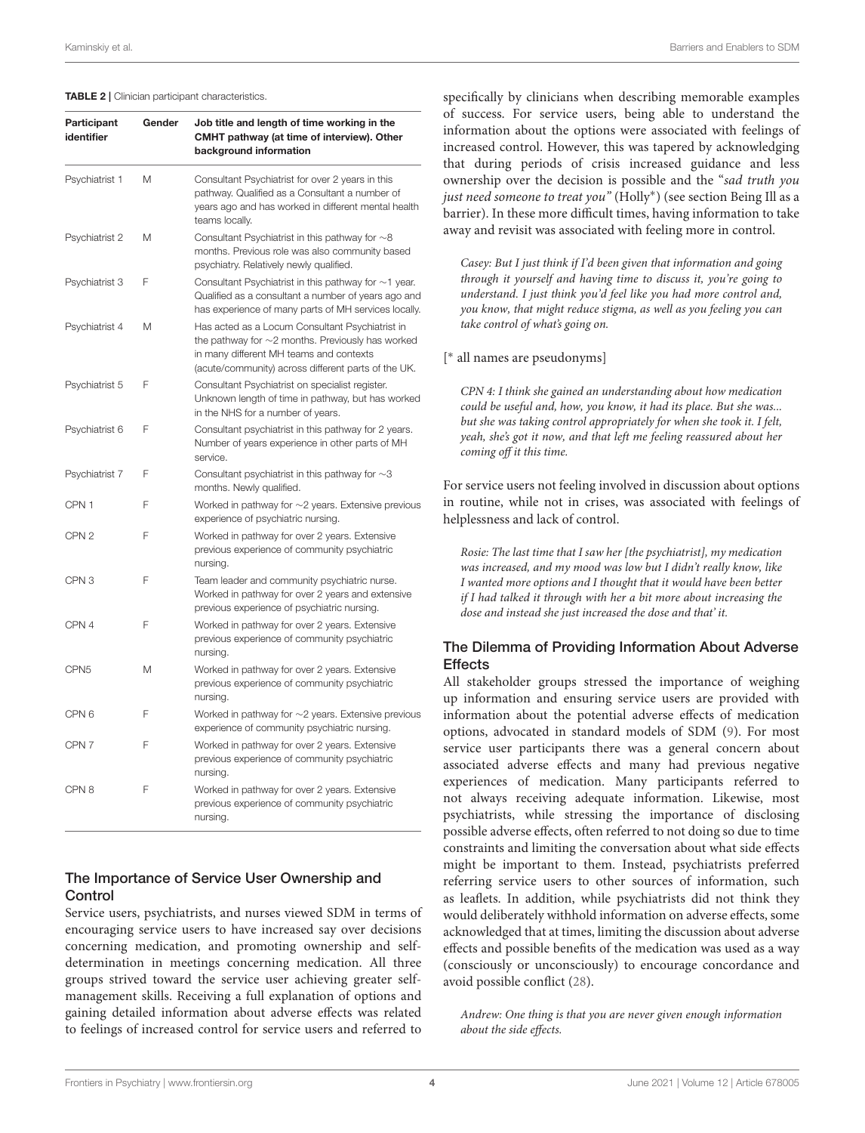#### <span id="page-3-0"></span>TABLE 2 | Clinician participant characteristics.

| Participant<br>identifier | Gender | Job title and length of time working in the<br>CMHT pathway (at time of interview). Other<br>background information                                                                                         |
|---------------------------|--------|-------------------------------------------------------------------------------------------------------------------------------------------------------------------------------------------------------------|
| Psychiatrist 1            | Μ      | Consultant Psychiatrist for over 2 years in this<br>pathway. Qualified as a Consultant a number of<br>years ago and has worked in different mental health<br>teams locally.                                 |
| Psychiatrist 2            | Μ      | Consultant Psychiatrist in this pathway for $\sim$ 8<br>months. Previous role was also community based<br>psychiatry. Relatively newly qualified.                                                           |
| Psychiatrist 3            | F      | Consultant Psychiatrist in this pathway for $\sim$ 1 year.<br>Qualified as a consultant a number of years ago and<br>has experience of many parts of MH services locally.                                   |
| Psychiatrist 4            | Μ      | Has acted as a Locum Consultant Psychiatrist in<br>the pathway for $\sim$ 2 months. Previously has worked<br>in many different MH teams and contexts<br>(acute/community) across different parts of the UK. |
| Psychiatrist 5            | F      | Consultant Psychiatrist on specialist register.<br>Unknown length of time in pathway, but has worked<br>in the NHS for a number of years.                                                                   |
| Psychiatrist 6            | F      | Consultant psychiatrist in this pathway for 2 years.<br>Number of years experience in other parts of MH<br>service.                                                                                         |
| Psychiatrist 7            | F      | Consultant psychiatrist in this pathway for $\sim$ 3<br>months. Newly qualified.                                                                                                                            |
| CPN <sub>1</sub>          | F      | Worked in pathway for $\sim$ 2 years. Extensive previous<br>experience of psychiatric nursing.                                                                                                              |
| CPN <sub>2</sub>          | F      | Worked in pathway for over 2 years. Extensive<br>previous experience of community psychiatric<br>nursing.                                                                                                   |
| CPN <sub>3</sub>          | F      | Team leader and community psychiatric nurse.<br>Worked in pathway for over 2 years and extensive<br>previous experience of psychiatric nursing.                                                             |
| CPN 4                     | F      | Worked in pathway for over 2 years. Extensive<br>previous experience of community psychiatric<br>nursing.                                                                                                   |
| CPN <sub>5</sub>          | Μ      | Worked in pathway for over 2 years. Extensive<br>previous experience of community psychiatric<br>nursing.                                                                                                   |
| CPN <sub>6</sub>          | F      | Worked in pathway for $\sim$ 2 years. Extensive previous<br>experience of community psychiatric nursing.                                                                                                    |
| CPN <sub>7</sub>          | F      | Worked in pathway for over 2 years. Extensive<br>previous experience of community psychiatric<br>nursing.                                                                                                   |
| CPN <sub>8</sub>          | F      | Worked in pathway for over 2 years. Extensive<br>previous experience of community psychiatric<br>nursing.                                                                                                   |

### The Importance of Service User Ownership and Control

Service users, psychiatrists, and nurses viewed SDM in terms of encouraging service users to have increased say over decisions concerning medication, and promoting ownership and selfdetermination in meetings concerning medication. All three groups strived toward the service user achieving greater selfmanagement skills. Receiving a full explanation of options and gaining detailed information about adverse effects was related to feelings of increased control for service users and referred to

specifically by clinicians when describing memorable examples of success. For service users, being able to understand the information about the options were associated with feelings of increased control. However, this was tapered by acknowledging that during periods of crisis increased guidance and less ownership over the decision is possible and the "sad truth you just need someone to treat you" (Holly<sup>∗</sup> ) (see section Being Ill as a barrier). In these more difficult times, having information to take away and revisit was associated with feeling more in control.

Casey: But I just think if I'd been given that information and going through it yourself and having time to discuss it, you're going to understand. I just think you'd feel like you had more control and, you know, that might reduce stigma, as well as you feeling you can take control of what's going on.

[ ∗ all names are pseudonyms]

CPN 4: I think she gained an understanding about how medication could be useful and, how, you know, it had its place. But she was... but she was taking control appropriately for when she took it. I felt, yeah, she's got it now, and that left me feeling reassured about her coming off it this time.

For service users not feeling involved in discussion about options in routine, while not in crises, was associated with feelings of helplessness and lack of control.

Rosie: The last time that I saw her [the psychiatrist], my medication was increased, and my mood was low but I didn't really know, like I wanted more options and I thought that it would have been better if I had talked it through with her a bit more about increasing the dose and instead she just increased the dose and that' it.

### The Dilemma of Providing Information About Adverse Effects

All stakeholder groups stressed the importance of weighing up information and ensuring service users are provided with information about the potential adverse effects of medication options, advocated in standard models of SDM [\(9\)](#page-7-7). For most service user participants there was a general concern about associated adverse effects and many had previous negative experiences of medication. Many participants referred to not always receiving adequate information. Likewise, most psychiatrists, while stressing the importance of disclosing possible adverse effects, often referred to not doing so due to time constraints and limiting the conversation about what side effects might be important to them. Instead, psychiatrists preferred referring service users to other sources of information, such as leaflets. In addition, while psychiatrists did not think they would deliberately withhold information on adverse effects, some acknowledged that at times, limiting the discussion about adverse effects and possible benefits of the medication was used as a way (consciously or unconsciously) to encourage concordance and avoid possible conflict [\(28\)](#page-8-14).

Andrew: One thing is that you are never given enough information about the side effects.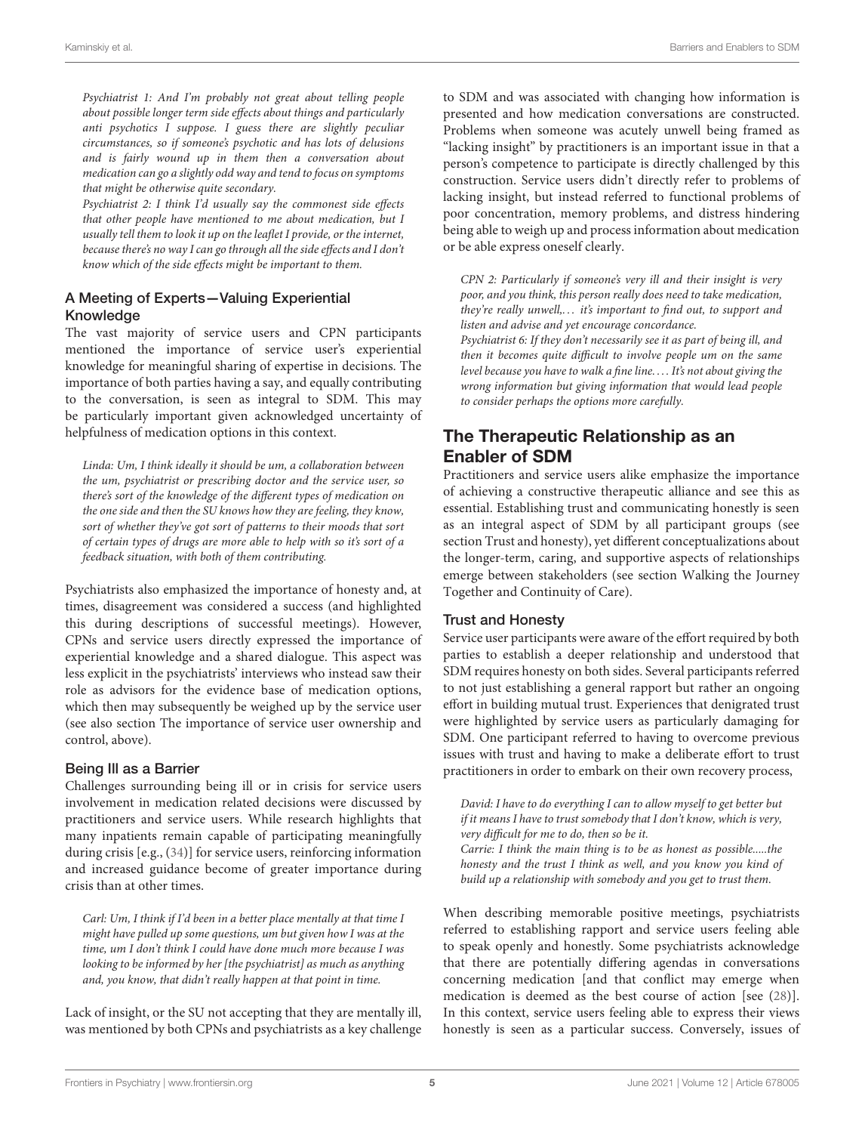Psychiatrist 1: And I'm probably not great about telling people about possible longer term side effects about things and particularly anti psychotics I suppose. I guess there are slightly peculiar circumstances, so if someone's psychotic and has lots of delusions and is fairly wound up in them then a conversation about medication can go a slightly odd way and tend to focus on symptoms that might be otherwise quite secondary.

Psychiatrist 2: I think I'd usually say the commonest side effects that other people have mentioned to me about medication, but I usually tell them to look it up on the leaflet I provide, or the internet, because there's no way I can go through all the side effects and I don't know which of the side effects might be important to them.

### A Meeting of Experts—Valuing Experiential Knowledge

The vast majority of service users and CPN participants mentioned the importance of service user's experiential knowledge for meaningful sharing of expertise in decisions. The importance of both parties having a say, and equally contributing to the conversation, is seen as integral to SDM. This may be particularly important given acknowledged uncertainty of helpfulness of medication options in this context.

Linda: Um, I think ideally it should be um, a collaboration between the um, psychiatrist or prescribing doctor and the service user, so there's sort of the knowledge of the different types of medication on the one side and then the SU knows how they are feeling, they know, sort of whether they've got sort of patterns to their moods that sort of certain types of drugs are more able to help with so it's sort of a feedback situation, with both of them contributing.

Psychiatrists also emphasized the importance of honesty and, at times, disagreement was considered a success (and highlighted this during descriptions of successful meetings). However, CPNs and service users directly expressed the importance of experiential knowledge and a shared dialogue. This aspect was less explicit in the psychiatrists' interviews who instead saw their role as advisors for the evidence base of medication options, which then may subsequently be weighed up by the service user (see also section The importance of service user ownership and control, above).

#### Being Ill as a Barrier

Challenges surrounding being ill or in crisis for service users involvement in medication related decisions were discussed by practitioners and service users. While research highlights that many inpatients remain capable of participating meaningfully during crisis [e.g., [\(34\)](#page-8-20)] for service users, reinforcing information and increased guidance become of greater importance during crisis than at other times.

Carl: Um, I think if I'd been in a better place mentally at that time I might have pulled up some questions, um but given how I was at the time, um I don't think I could have done much more because I was looking to be informed by her [the psychiatrist] as much as anything and, you know, that didn't really happen at that point in time.

Lack of insight, or the SU not accepting that they are mentally ill, was mentioned by both CPNs and psychiatrists as a key challenge to SDM and was associated with changing how information is presented and how medication conversations are constructed. Problems when someone was acutely unwell being framed as "lacking insight" by practitioners is an important issue in that a person's competence to participate is directly challenged by this construction. Service users didn't directly refer to problems of lacking insight, but instead referred to functional problems of poor concentration, memory problems, and distress hindering being able to weigh up and process information about medication or be able express oneself clearly.

CPN 2: Particularly if someone's very ill and their insight is very poor, and you think, this person really does need to take medication, they're really unwell,... it's important to find out, to support and listen and advise and yet encourage concordance.

Psychiatrist 6: If they don't necessarily see it as part of being ill, and then it becomes quite difficult to involve people um on the same level because you have to walk a fine line. . . . It's not about giving the wrong information but giving information that would lead people to consider perhaps the options more carefully.

# The Therapeutic Relationship as an Enabler of SDM

Practitioners and service users alike emphasize the importance of achieving a constructive therapeutic alliance and see this as essential. Establishing trust and communicating honestly is seen as an integral aspect of SDM by all participant groups (see section Trust and honesty), yet different conceptualizations about the longer-term, caring, and supportive aspects of relationships emerge between stakeholders (see section Walking the Journey Together and Continuity of Care).

#### Trust and Honesty

Service user participants were aware of the effort required by both parties to establish a deeper relationship and understood that SDM requires honesty on both sides. Several participants referred to not just establishing a general rapport but rather an ongoing effort in building mutual trust. Experiences that denigrated trust were highlighted by service users as particularly damaging for SDM. One participant referred to having to overcome previous issues with trust and having to make a deliberate effort to trust practitioners in order to embark on their own recovery process,

David: I have to do everything I can to allow myself to get better but if it means I have to trust somebody that I don't know, which is very, very difficult for me to do, then so be it. Carrie: I think the main thing is to be as honest as possible.....the honesty and the trust I think as well, and you know you kind of build up a relationship with somebody and you get to trust them.

When describing memorable positive meetings, psychiatrists referred to establishing rapport and service users feeling able to speak openly and honestly. Some psychiatrists acknowledge that there are potentially differing agendas in conversations concerning medication [and that conflict may emerge when medication is deemed as the best course of action [see [\(28\)](#page-8-14)]. In this context, service users feeling able to express their views honestly is seen as a particular success. Conversely, issues of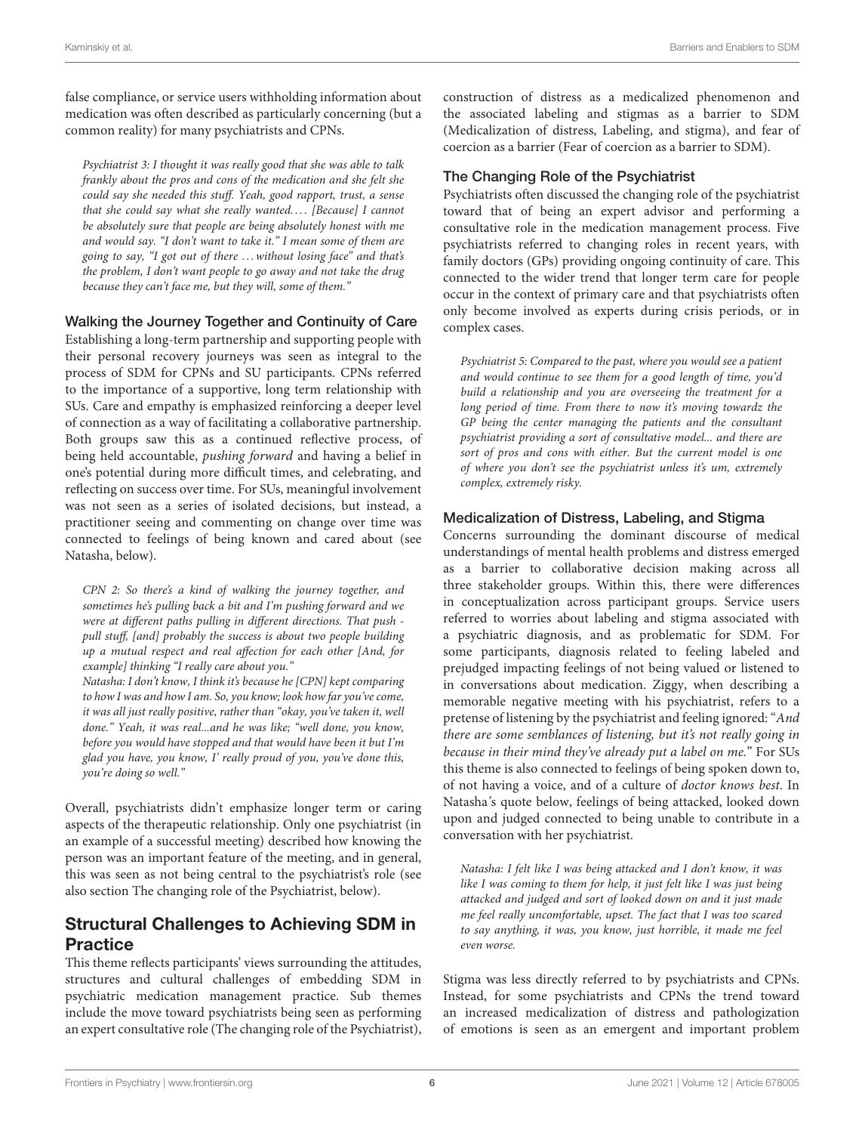false compliance, or service users withholding information about medication was often described as particularly concerning (but a common reality) for many psychiatrists and CPNs.

Psychiatrist 3: I thought it was really good that she was able to talk frankly about the pros and cons of the medication and she felt she could say she needed this stuff. Yeah, good rapport, trust, a sense that she could say what she really wanted.... [Because] I cannot be absolutely sure that people are being absolutely honest with me and would say. "I don't want to take it." I mean some of them are going to say, "I got out of there . . . without losing face" and that's the problem, I don't want people to go away and not take the drug because they can't face me, but they will, some of them."

#### Walking the Journey Together and Continuity of Care

Establishing a long-term partnership and supporting people with their personal recovery journeys was seen as integral to the process of SDM for CPNs and SU participants. CPNs referred to the importance of a supportive, long term relationship with SUs. Care and empathy is emphasized reinforcing a deeper level of connection as a way of facilitating a collaborative partnership. Both groups saw this as a continued reflective process, of being held accountable, pushing forward and having a belief in one's potential during more difficult times, and celebrating, and reflecting on success over time. For SUs, meaningful involvement was not seen as a series of isolated decisions, but instead, a practitioner seeing and commenting on change over time was connected to feelings of being known and cared about (see Natasha, below).

CPN 2: So there's a kind of walking the journey together, and sometimes he's pulling back a bit and I'm pushing forward and we were at different paths pulling in different directions. That push pull stuff, [and] probably the success is about two people building up a mutual respect and real affection for each other [And, for example] thinking "I really care about you."

Natasha: I don't know, I think it's because he [CPN] kept comparing to how I was and how I am. So, you know; look how far you've come, it was all just really positive, rather than "okay, you've taken it, well done." Yeah, it was real...and he was like; "well done, you know, before you would have stopped and that would have been it but I'm glad you have, you know, I' really proud of you, you've done this, you're doing so well."

Overall, psychiatrists didn't emphasize longer term or caring aspects of the therapeutic relationship. Only one psychiatrist (in an example of a successful meeting) described how knowing the person was an important feature of the meeting, and in general, this was seen as not being central to the psychiatrist's role (see also section The changing role of the Psychiatrist, below).

# Structural Challenges to Achieving SDM in **Practice**

This theme reflects participants' views surrounding the attitudes, structures and cultural challenges of embedding SDM in psychiatric medication management practice. Sub themes include the move toward psychiatrists being seen as performing an expert consultative role (The changing role of the Psychiatrist), construction of distress as a medicalized phenomenon and the associated labeling and stigmas as a barrier to SDM (Medicalization of distress, Labeling, and stigma), and fear of coercion as a barrier (Fear of coercion as a barrier to SDM).

#### The Changing Role of the Psychiatrist

Psychiatrists often discussed the changing role of the psychiatrist toward that of being an expert advisor and performing a consultative role in the medication management process. Five psychiatrists referred to changing roles in recent years, with family doctors (GPs) providing ongoing continuity of care. This connected to the wider trend that longer term care for people occur in the context of primary care and that psychiatrists often only become involved as experts during crisis periods, or in complex cases.

Psychiatrist 5: Compared to the past, where you would see a patient and would continue to see them for a good length of time, you'd build a relationship and you are overseeing the treatment for a long period of time. From there to now it's moving towardz the GP being the center managing the patients and the consultant psychiatrist providing a sort of consultative model... and there are sort of pros and cons with either. But the current model is one of where you don't see the psychiatrist unless it's um, extremely complex, extremely risky.

#### Medicalization of Distress, Labeling, and Stigma

Concerns surrounding the dominant discourse of medical understandings of mental health problems and distress emerged as a barrier to collaborative decision making across all three stakeholder groups. Within this, there were differences in conceptualization across participant groups. Service users referred to worries about labeling and stigma associated with a psychiatric diagnosis, and as problematic for SDM. For some participants, diagnosis related to feeling labeled and prejudged impacting feelings of not being valued or listened to in conversations about medication. Ziggy, when describing a memorable negative meeting with his psychiatrist, refers to a pretense of listening by the psychiatrist and feeling ignored:"And there are some semblances of listening, but it's not really going in because in their mind they've already put a label on me." For SUs this theme is also connected to feelings of being spoken down to, of not having a voice, and of a culture of doctor knows best. In Natasha's quote below, feelings of being attacked, looked down upon and judged connected to being unable to contribute in a conversation with her psychiatrist.

Natasha: I felt like I was being attacked and I don't know, it was like I was coming to them for help, it just felt like I was just being attacked and judged and sort of looked down on and it just made me feel really uncomfortable, upset. The fact that I was too scared to say anything, it was, you know, just horrible, it made me feel even worse.

Stigma was less directly referred to by psychiatrists and CPNs. Instead, for some psychiatrists and CPNs the trend toward an increased medicalization of distress and pathologization of emotions is seen as an emergent and important problem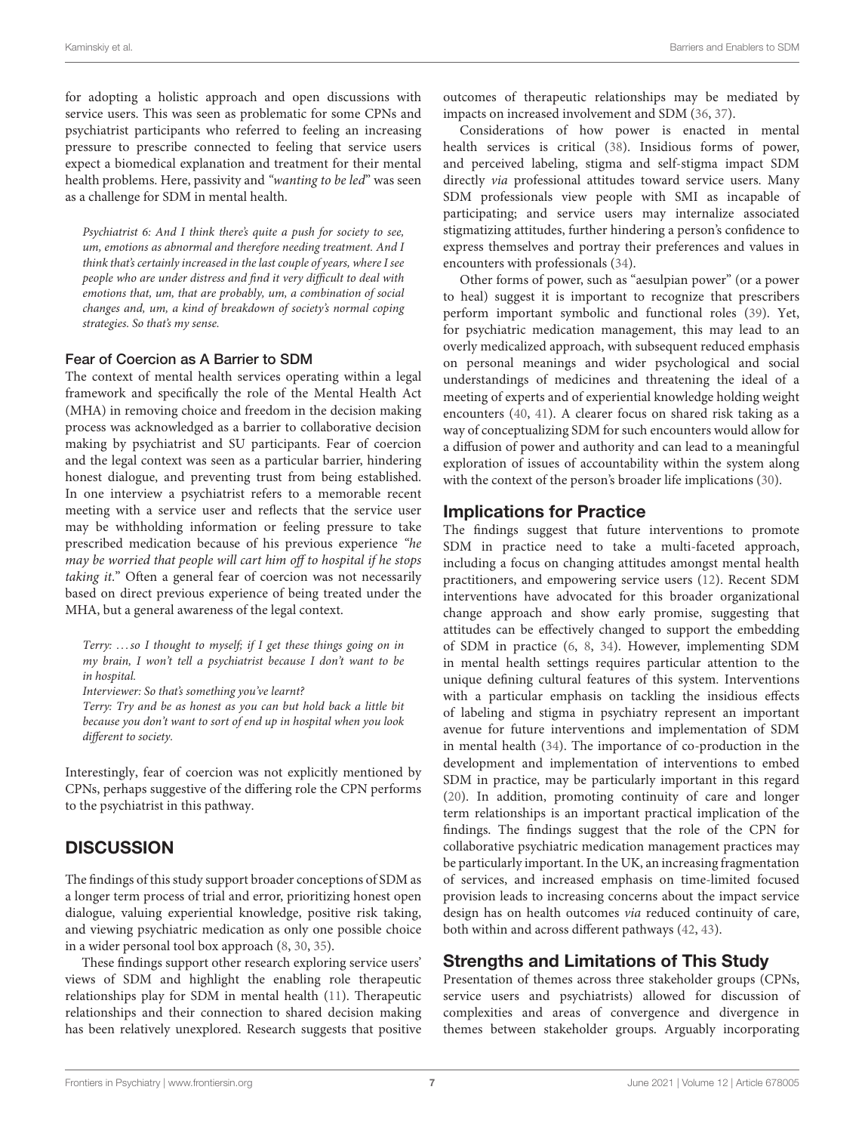for adopting a holistic approach and open discussions with service users. This was seen as problematic for some CPNs and psychiatrist participants who referred to feeling an increasing pressure to prescribe connected to feeling that service users expect a biomedical explanation and treatment for their mental health problems. Here, passivity and "wanting to be led" was seen as a challenge for SDM in mental health.

Psychiatrist 6: And I think there's quite a push for society to see, um, emotions as abnormal and therefore needing treatment. And I think that's certainly increased in the last couple of years, where I see people who are under distress and find it very difficult to deal with emotions that, um, that are probably, um, a combination of social changes and, um, a kind of breakdown of society's normal coping strategies. So that's my sense.

#### Fear of Coercion as A Barrier to SDM

The context of mental health services operating within a legal framework and specifically the role of the Mental Health Act (MHA) in removing choice and freedom in the decision making process was acknowledged as a barrier to collaborative decision making by psychiatrist and SU participants. Fear of coercion and the legal context was seen as a particular barrier, hindering honest dialogue, and preventing trust from being established. In one interview a psychiatrist refers to a memorable recent meeting with a service user and reflects that the service user may be withholding information or feeling pressure to take prescribed medication because of his previous experience "he may be worried that people will cart him off to hospital if he stops taking it." Often a general fear of coercion was not necessarily based on direct previous experience of being treated under the MHA, but a general awareness of the legal context.

Terry: . . . so I thought to myself; if I get these things going on in my brain, I won't tell a psychiatrist because I don't want to be in hospital.

Interviewer: So that's something you've learnt?

Terry: Try and be as honest as you can but hold back a little bit because you don't want to sort of end up in hospital when you look different to society.

Interestingly, fear of coercion was not explicitly mentioned by CPNs, perhaps suggestive of the differing role the CPN performs to the psychiatrist in this pathway.

# **DISCUSSION**

The findings of this study support broader conceptions of SDM as a longer term process of trial and error, prioritizing honest open dialogue, valuing experiential knowledge, positive risk taking, and viewing psychiatric medication as only one possible choice in a wider personal tool box approach [\(8,](#page-7-6) [30,](#page-8-16) [35\)](#page-8-21).

These findings support other research exploring service users' views of SDM and highlight the enabling role therapeutic relationships play for SDM in mental health [\(11\)](#page-8-0). Therapeutic relationships and their connection to shared decision making has been relatively unexplored. Research suggests that positive outcomes of therapeutic relationships may be mediated by impacts on increased involvement and SDM [\(36,](#page-8-22) [37\)](#page-8-23).

Considerations of how power is enacted in mental health services is critical [\(38\)](#page-8-24). Insidious forms of power, and perceived labeling, stigma and self-stigma impact SDM directly via professional attitudes toward service users. Many SDM professionals view people with SMI as incapable of participating; and service users may internalize associated stigmatizing attitudes, further hindering a person's confidence to express themselves and portray their preferences and values in encounters with professionals [\(34\)](#page-8-20).

Other forms of power, such as "aesulpian power" (or a power to heal) suggest it is important to recognize that prescribers perform important symbolic and functional roles [\(39\)](#page-8-25). Yet, for psychiatric medication management, this may lead to an overly medicalized approach, with subsequent reduced emphasis on personal meanings and wider psychological and social understandings of medicines and threatening the ideal of a meeting of experts and of experiential knowledge holding weight encounters [\(40,](#page-8-26) [41\)](#page-8-27). A clearer focus on shared risk taking as a way of conceptualizing SDM for such encounters would allow for a diffusion of power and authority and can lead to a meaningful exploration of issues of accountability within the system along with the context of the person's broader life implications [\(30\)](#page-8-16).

# Implications for Practice

The findings suggest that future interventions to promote SDM in practice need to take a multi-faceted approach, including a focus on changing attitudes amongst mental health practitioners, and empowering service users [\(12\)](#page-8-1). Recent SDM interventions have advocated for this broader organizational change approach and show early promise, suggesting that attitudes can be effectively changed to support the embedding of SDM in practice [\(6,](#page-7-4) [8,](#page-7-6) [34\)](#page-8-20). However, implementing SDM in mental health settings requires particular attention to the unique defining cultural features of this system. Interventions with a particular emphasis on tackling the insidious effects of labeling and stigma in psychiatry represent an important avenue for future interventions and implementation of SDM in mental health [\(34\)](#page-8-20). The importance of co-production in the development and implementation of interventions to embed SDM in practice, may be particularly important in this regard [\(20\)](#page-8-8). In addition, promoting continuity of care and longer term relationships is an important practical implication of the findings. The findings suggest that the role of the CPN for collaborative psychiatric medication management practices may be particularly important. In the UK, an increasing fragmentation of services, and increased emphasis on time-limited focused provision leads to increasing concerns about the impact service design has on health outcomes via reduced continuity of care, both within and across different pathways [\(42,](#page-8-28) [43\)](#page-8-29).

# Strengths and Limitations of This Study

Presentation of themes across three stakeholder groups (CPNs, service users and psychiatrists) allowed for discussion of complexities and areas of convergence and divergence in themes between stakeholder groups. Arguably incorporating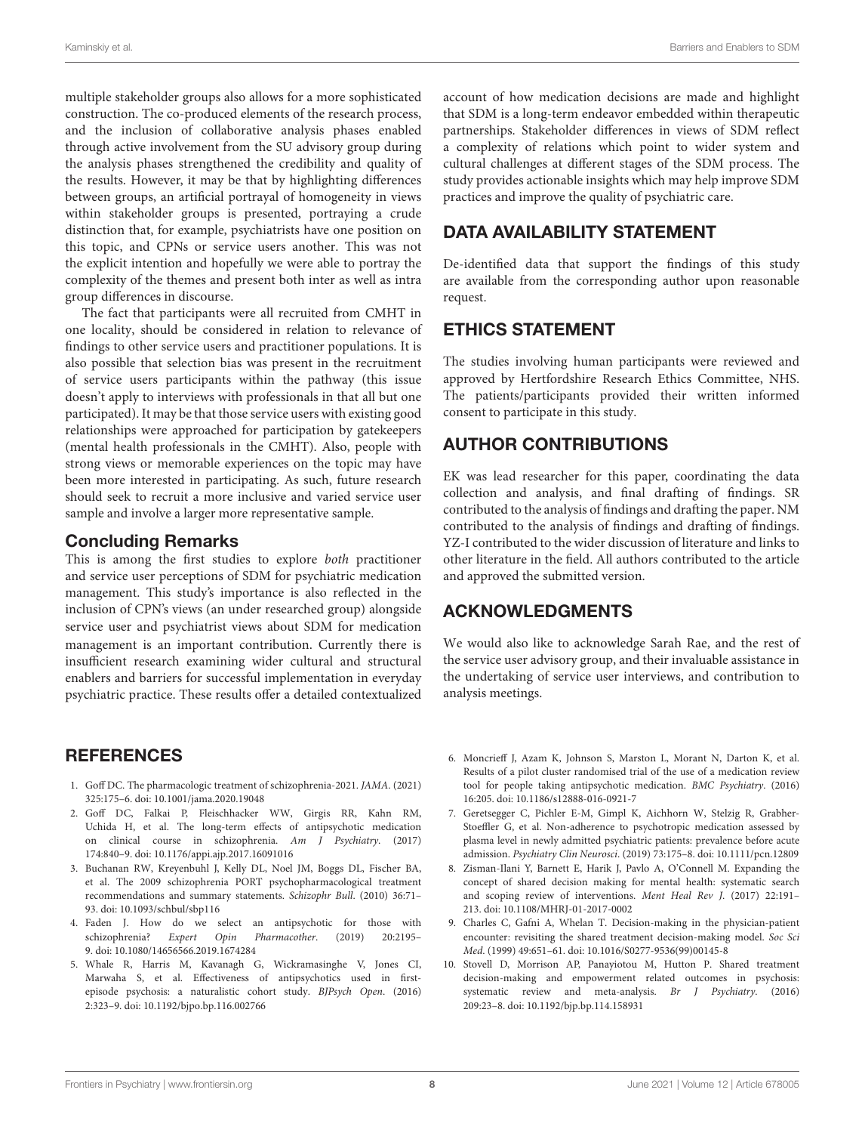multiple stakeholder groups also allows for a more sophisticated construction. The co-produced elements of the research process, and the inclusion of collaborative analysis phases enabled through active involvement from the SU advisory group during the analysis phases strengthened the credibility and quality of the results. However, it may be that by highlighting differences between groups, an artificial portrayal of homogeneity in views within stakeholder groups is presented, portraying a crude distinction that, for example, psychiatrists have one position on this topic, and CPNs or service users another. This was not the explicit intention and hopefully we were able to portray the complexity of the themes and present both inter as well as intra group differences in discourse.

The fact that participants were all recruited from CMHT in one locality, should be considered in relation to relevance of findings to other service users and practitioner populations. It is also possible that selection bias was present in the recruitment of service users participants within the pathway (this issue doesn't apply to interviews with professionals in that all but one participated). It may be that those service users with existing good relationships were approached for participation by gatekeepers (mental health professionals in the CMHT). Also, people with strong views or memorable experiences on the topic may have been more interested in participating. As such, future research should seek to recruit a more inclusive and varied service user sample and involve a larger more representative sample.

#### Concluding Remarks

This is among the first studies to explore both practitioner and service user perceptions of SDM for psychiatric medication management. This study's importance is also reflected in the inclusion of CPN's views (an under researched group) alongside service user and psychiatrist views about SDM for medication management is an important contribution. Currently there is insufficient research examining wider cultural and structural enablers and barriers for successful implementation in everyday psychiatric practice. These results offer a detailed contextualized

# REFERENCES

- <span id="page-7-0"></span>1. Goff DC. The pharmacologic treatment of schizophrenia-2021. JAMA. (2021) 325:175–6. doi: [10.1001/jama.2020.19048](https://doi.org/10.1001/jama.2020.19048)
- <span id="page-7-1"></span>2. Goff DC, Falkai P, Fleischhacker WW, Girgis RR, Kahn RM, Uchida H, et al. The long-term effects of antipsychotic medication on clinical course in schizophrenia. Am J Psychiatry. (2017) 174:840–9. doi: [10.1176/appi.ajp.2017.16091016](https://doi.org/10.1176/appi.ajp.2017.16091016)
- <span id="page-7-2"></span>3. Buchanan RW, Kreyenbuhl J, Kelly DL, Noel JM, Boggs DL, Fischer BA, et al. The 2009 schizophrenia PORT psychopharmacological treatment recommendations and summary statements. Schizophr Bull. (2010) 36:71– 93. doi: [10.1093/schbul/sbp116](https://doi.org/10.1093/schbul/sbp116)
- 4. Faden J. How do we select an antipsychotic for those with schizophrenia? Expert Opin Pharmacother. (2019) 20:2195– 9. doi: [10.1080/14656566.2019.1674284](https://doi.org/10.1080/14656566.2019.1674284)
- <span id="page-7-3"></span>5. Whale R, Harris M, Kavanagh G, Wickramasinghe V, Jones CI, Marwaha S, et al. Effectiveness of antipsychotics used in firstepisode psychosis: a naturalistic cohort study. BJPsych Open. (2016) 2:323–9. doi: [10.1192/bjpo.bp.116.002766](https://doi.org/10.1192/bjpo.bp.116.002766)

account of how medication decisions are made and highlight that SDM is a long-term endeavor embedded within therapeutic partnerships. Stakeholder differences in views of SDM reflect a complexity of relations which point to wider system and cultural challenges at different stages of the SDM process. The study provides actionable insights which may help improve SDM practices and improve the quality of psychiatric care.

# DATA AVAILABILITY STATEMENT

De-identified data that support the findings of this study are available from the corresponding author upon reasonable request.

# ETHICS STATEMENT

The studies involving human participants were reviewed and approved by Hertfordshire Research Ethics Committee, NHS. The patients/participants provided their written informed consent to participate in this study.

# AUTHOR CONTRIBUTIONS

EK was lead researcher for this paper, coordinating the data collection and analysis, and final drafting of findings. SR contributed to the analysis of findings and drafting the paper. NM contributed to the analysis of findings and drafting of findings. YZ-I contributed to the wider discussion of literature and links to other literature in the field. All authors contributed to the article and approved the submitted version.

# ACKNOWLEDGMENTS

We would also like to acknowledge Sarah Rae, and the rest of the service user advisory group, and their invaluable assistance in the undertaking of service user interviews, and contribution to analysis meetings.

- <span id="page-7-4"></span>6. Moncrieff J, Azam K, Johnson S, Marston L, Morant N, Darton K, et al. Results of a pilot cluster randomised trial of the use of a medication review tool for people taking antipsychotic medication. BMC Psychiatry. (2016) 16:205. doi: [10.1186/s12888-016-0921-7](https://doi.org/10.1186/s12888-016-0921-7)
- <span id="page-7-5"></span>7. Geretsegger C, Pichler E-M, Gimpl K, Aichhorn W, Stelzig R, Grabher-Stoeffler G, et al. Non-adherence to psychotropic medication assessed by plasma level in newly admitted psychiatric patients: prevalence before acute admission. Psychiatry Clin Neurosci. (2019) 73:175–8. doi: [10.1111/pcn.12809](https://doi.org/10.1111/pcn.12809)
- <span id="page-7-6"></span>8. Zisman-Ilani Y, Barnett E, Harik J, Pavlo A, O'Connell M. Expanding the concept of shared decision making for mental health: systematic search and scoping review of interventions. Ment Heal Rev J. (2017) 22:191– 213. doi: [10.1108/MHRJ-01-2017-0002](https://doi.org/10.1108/MHRJ-01-2017-0002)
- <span id="page-7-7"></span>9. Charles C, Gafni A, Whelan T. Decision-making in the physician-patient encounter: revisiting the shared treatment decision-making model. Soc Sci Med. (1999) 49:651–61. doi: [10.1016/S0277-9536\(99\)00145-8](https://doi.org/10.1016/S0277-9536(99)00145-8)
- <span id="page-7-8"></span>10. Stovell D, Morrison AP, Panayiotou M, Hutton P. Shared treatment decision-making and empowerment related outcomes in psychosis: systematic review and meta-analysis. Br J Psychiatry. (2016) 209:23–8. doi: [10.1192/bjp.bp.114.158931](https://doi.org/10.1192/bjp.bp.114.158931)